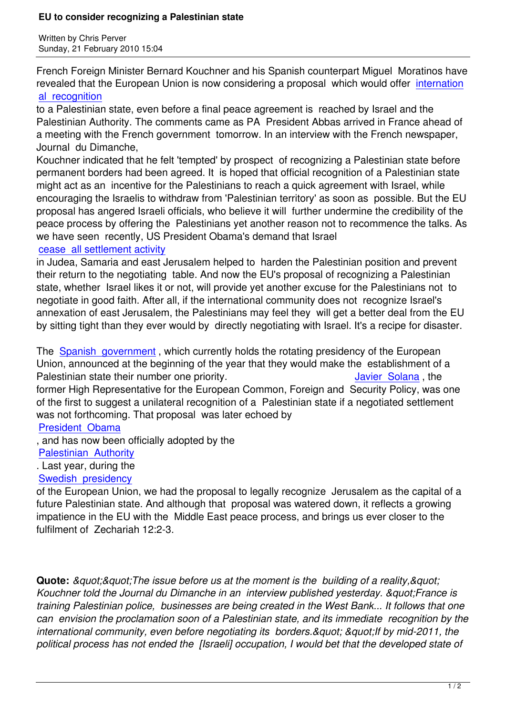Written by Christian by Christian by Christian by Christian by Christian by Christian by Chris Perus

French Foreign Minister Bernard Kouchner and his Spanish counterpart Miguel Moratinos have revealed that the European Union is now considering a proposal which would offer internation al recognition

to a Palestinian state, even before a final peace agreement is reached by Israel and the Palestinian Authority. The comments came as PA President Abbas arrived in Franc[e ahead of](http://www.haaretz.com/hasen/spages/1151280.html) [a meeting with](http://www.haaretz.com/hasen/spages/1151280.html) the French government tomorrow. In an interview with the French newspaper, Journal du Dimanche,

Kouchner indicated that he felt 'tempted' by prospect of recognizing a Palestinian state before permanent borders had been agreed. It is hoped that official recognition of a Palestinian state might act as an incentive for the Palestinians to reach a quick agreement with Israel, while encouraging the Israelis to withdraw from 'Palestinian territory' as soon as possible. But the EU proposal has angered Israeli officials, who believe it will further undermine the credibility of the peace process by offering the Palestinians yet another reason not to recommence the talks. As we have seen recently, US President Obama's demand that Israel

## cease all settlement activity

in Judea, Samaria and east Jerusalem helped to harden the Palestinian position and prevent their return to the negotiating table. And now the EU's proposal of recognizing a Palestinian [state, whether Israel likes it o](https://www.prophecynews.co.uk/index.php?option=com_content&id=1213/2/)r not, will provide yet another excuse for the Palestinians not to negotiate in good faith. After all, if the international community does not recognize Israel's annexation of east Jerusalem, the Palestinians may feel they will get a better deal from the EU by sitting tight than they ever would by directly negotiating with Israel. It's a recipe for disaster.

The Spanish government, which currently holds the rotating presidency of the European Union, announced at the beginning of the year that they would make the establishment of a Palestinian state their number one priority. The state of the state of the state of the Palestinian , the form[er High Representative](https://www.prophecynews.co.uk/index.php?option=com_content&id=1391/2/) for the European Common, Foreign and Security Policy, was one of the first to suggest a unilateral recognition of a Palestinian state if a negotiated settlement was not forthcoming. That proposal was later echoed by

President Obama

, and has now been officially adopted by the

Palestinian Authority

[. Last year, during](https://www.prophecynews.co.uk/index.php?option=com_content&id=1213/2/) the

## Swedish presidency

[of the European Union](https://www.prophecynews.co.uk/index.php?option=com_content&id=1360/2/), we had the proposal to legally recognize Jerusalem as the capital of a future Palestinian state. And although that proposal was watered down, it reflects a growing [impatience in the EU](https://www.prophecynews.co.uk/index.php?option=com_content&id=1386) with the Middle East peace process, and brings us ever closer to the fulfilment of Zechariah 12:2-3.

**Quote:** *&guot:&guot:The issue before us at the moment is the building of a reality,&guot:* Kouchner told the Journal du Dimanche in an interview published yesterday. & quot; France is *training Palestinian police, businesses are being created in the West Bank... It follows that one can envision the proclamation soon of a Palestinian state, and its immediate recognition by the* international community, even before negotiating its borders.&guot: &guot: If by mid-2011, the *political process has not ended the [Israeli] occupation, I would bet that the developed state of*